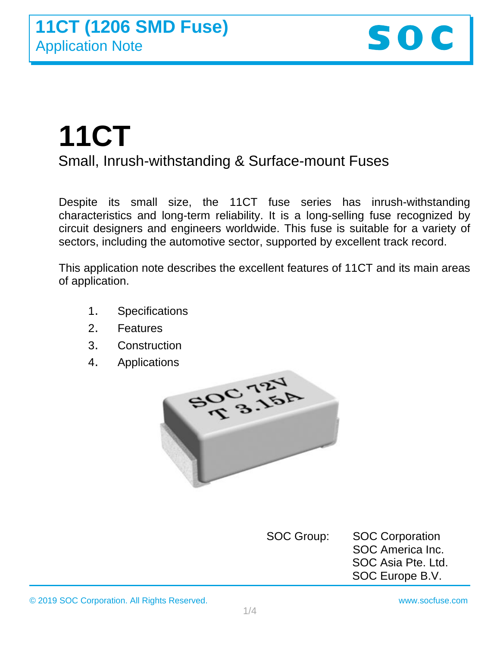e



# **11CT** Small, Inrush-withstanding & Surface-mount Fuses

Despite its small size, the 11CT fuse series has inrush-withstanding characteristics and long-term reliability. It is a long-selling fuse recognized by circuit designers and engineers worldwide. This fuse is suitable for a variety of sectors, including the automotive sector, supported by excellent track record.

This application note describes the excellent features of 11CT and its main areas of application.

- 1. Specifications
- 2. Features
- 3. Construction
- 4. Applications



SOC Group: SOC Corporation SOC America Inc. SOC Asia Pte. Ltd. SOC Europe B.V.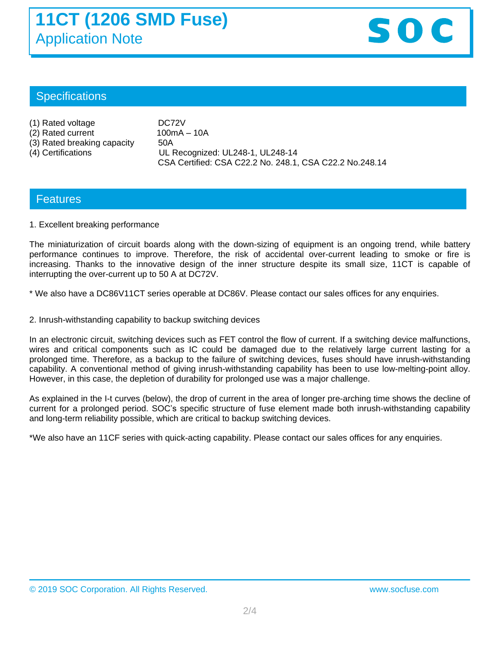# **11CT (1206 SMD Fuse)** Application Note



## **Specifications**

| (1) Rated voltage |  |
|-------------------|--|
|-------------------|--|

e

 $(2)$  Rated current 100mA – 10A

Cartridge Fuse Design

- (3) Rated breaking capacity 50A
- 

 $DC72V$ (4) Certifications UL Recognized: UL248-1, UL248-14 CSA Certified: CSA C22.2 No. 248.1, CSA C22.2 No.248.14

#### **Features**

#### 1. Excellent breaking performance Cartridge Fuse Design

The miniaturization of circuit boards along with the down-sizing of equipment is an ongoing trend, while battery performance continues to improve. Therefore, the risk of accidental over-current leading to smoke or fire is increasing. Thanks to the innovative design of the inner structure despite its small size, 11CT is capable of interrupting the over-current up to 50 A at DC72V.

\* We also have a DC86V11CT series operable at DC86V. Please contact our sales offices for any enquiries.

2. Inrush-withstanding capability to backup switching devices

In an electronic circuit, switching devices such as FET control the flow of current. If a switching device malfunctions, wires and critical components such as IC could be damaged due to the relatively large current lasting for a prolonged time. Therefore, as a backup to the failure of switching devices, fuses should have inrush-withstanding capability. A conventional method of giving inrush-withstanding capability has been to use low-melting-point alloy. However, in this case, the depletion of durability for prolonged use was a major challenge.

As explained in the I-t curves (below), the drop of current in the area of longer pre-arching time shows the decline of current for a prolonged period. SOC's specific structure of fuse element made both inrush-withstanding capability and long-term reliability possible, which are critical to backup switching devices.

\*We also have an 11CF series with quick-acting capability. Please contact our sales offices for any enquiries.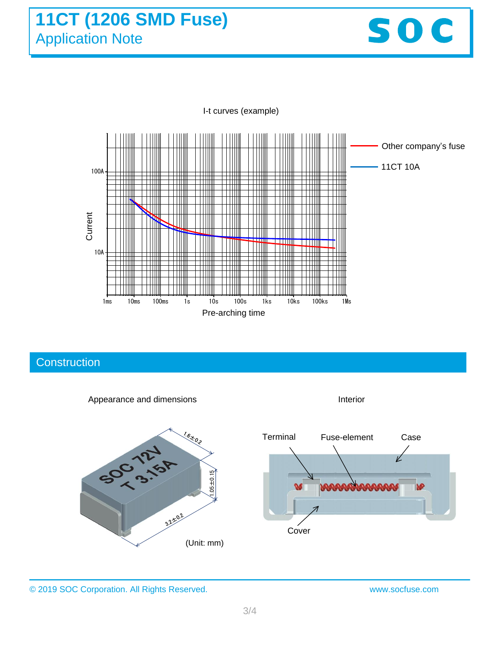

I-t curves (example)



## **Construction**

e



*©* 2019 SOC Corporation. All Rights Reserved. www.socfuse.com